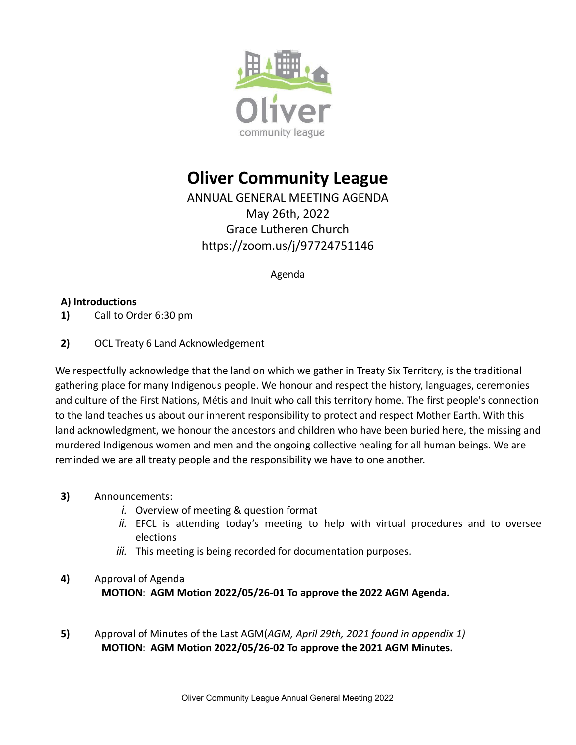

# **Oliver Community League**

ANNUAL GENERAL MEETING AGENDA May 26th, 2022 Grace Lutheren Church https://zoom.us/j/97724751146

#### Agenda

### **A) Introductions**

- **1)** Call to Order 6:30 pm
- **2)** OCL Treaty 6 Land Acknowledgement

We respectfully acknowledge that the land on which we gather in Treaty Six Territory, is the traditional gathering place for many Indigenous people. We honour and respect the history, languages, ceremonies and culture of the First Nations, Métis and Inuit who call this territory home. The first people's connection to the land teaches us about our inherent responsibility to protect and respect Mother Earth. With this land acknowledgment, we honour the ancestors and children who have been buried here, the missing and murdered Indigenous women and men and the ongoing collective healing for all human beings. We are reminded we are all treaty people and the responsibility we have to one another.

- **3)** Announcements:
	- *i.* Overview of meeting & question format
	- *ii.* EFCL is attending today's meeting to help with virtual procedures and to oversee elections
	- *iii.* This meeting is being recorded for documentation purposes.

## **4)** Approval of Agenda **MOTION: AGM Motion 2022/05/26-01 To approve the 2022 AGM Agenda.**

**5)** Approval of Minutes of the Last AGM(*AGM, April 29th, 2021 found in appendix 1)* **MOTION: AGM Motion 2022/05/26-02 To approve the 2021 AGM Minutes.**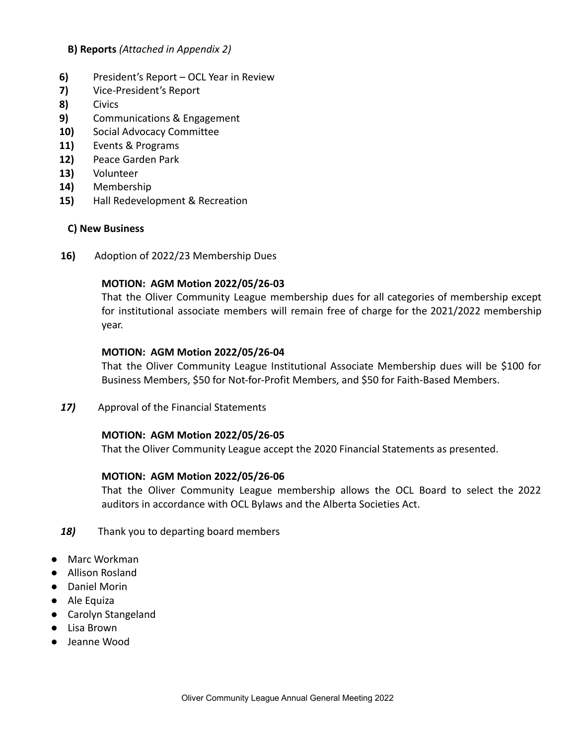#### **B) Reports** *(Attached in Appendix 2)*

- **6)** President's Report OCL Year in Review
- **7)** Vice-President's Report
- **8)** Civics
- **9)** Communications & Engagement
- **10)** Social Advocacy Committee
- **11)** Events & Programs
- **12)** Peace Garden Park
- **13)** Volunteer
- **14)** Membership
- **15)** Hall Redevelopment & Recreation

#### **C) New Business**

**16)** Adoption of 2022/23 Membership Dues

#### **MOTION: AGM Motion 2022/05/26-03**

That the Oliver Community League membership dues for all categories of membership except for institutional associate members will remain free of charge for the 2021/2022 membership year.

#### **MOTION: AGM Motion 2022/05/26-04**

That the Oliver Community League Institutional Associate Membership dues will be \$100 for Business Members, \$50 for Not-for-Profit Members, and \$50 for Faith-Based Members.

*17)* Approval of the Financial Statements

#### **MOTION: AGM Motion 2022/05/26-05**

That the Oliver Community League accept the 2020 Financial Statements as presented.

#### **MOTION: AGM Motion 2022/05/26-06**

That the Oliver Community League membership allows the OCL Board to select the 2022 auditors in accordance with OCL Bylaws and the Alberta Societies Act.

- *18)* Thank you to departing board members
- Marc Workman
- Allison Rosland
- Daniel Morin
- Ale Equiza
- Carolyn Stangeland
- Lisa Brown
- Jeanne Wood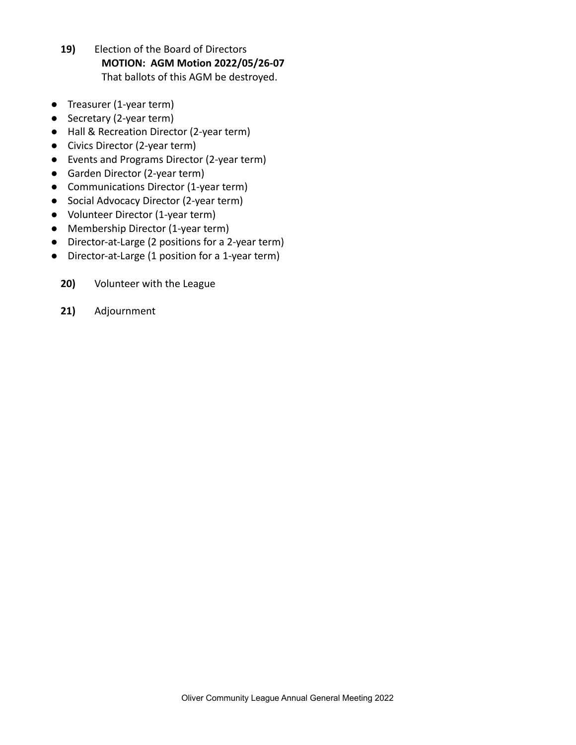- **19)** Election of the Board of Directors **MOTION: AGM Motion 2022/05/26-07** That ballots of this AGM be destroyed.
- Treasurer (1-year term)
- Secretary (2-year term)
- Hall & Recreation Director (2-year term)
- Civics Director (2-year term)
- Events and Programs Director (2-year term)
- Garden Director (2-year term)
- Communications Director (1-year term)
- Social Advocacy Director (2-year term)
- Volunteer Director (1-year term)
- Membership Director (1-year term)
- Director-at-Large (2 positions for a 2-year term)
- Director-at-Large (1 position for a 1-year term)
	- **20)** Volunteer with the League
	- **21)** Adjournment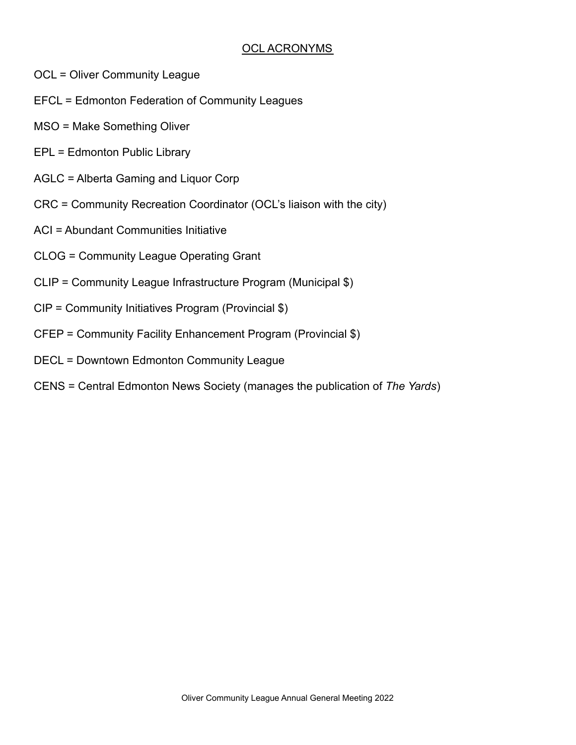### OCL ACRONYMS

- OCL = Oliver Community League
- EFCL = Edmonton Federation of Community Leagues
- MSO = Make Something Oliver
- EPL = Edmonton Public Library
- AGLC = Alberta Gaming and Liquor Corp
- CRC = Community Recreation Coordinator (OCL's liaison with the city)
- ACI = Abundant Communities Initiative
- CLOG = Community League Operating Grant
- CLIP = Community League Infrastructure Program (Municipal \$)
- CIP = Community Initiatives Program (Provincial \$)
- CFEP = Community Facility Enhancement Program (Provincial \$)
- DECL = Downtown Edmonton Community League
- CENS = Central Edmonton News Society (manages the publication of *The Yards*)